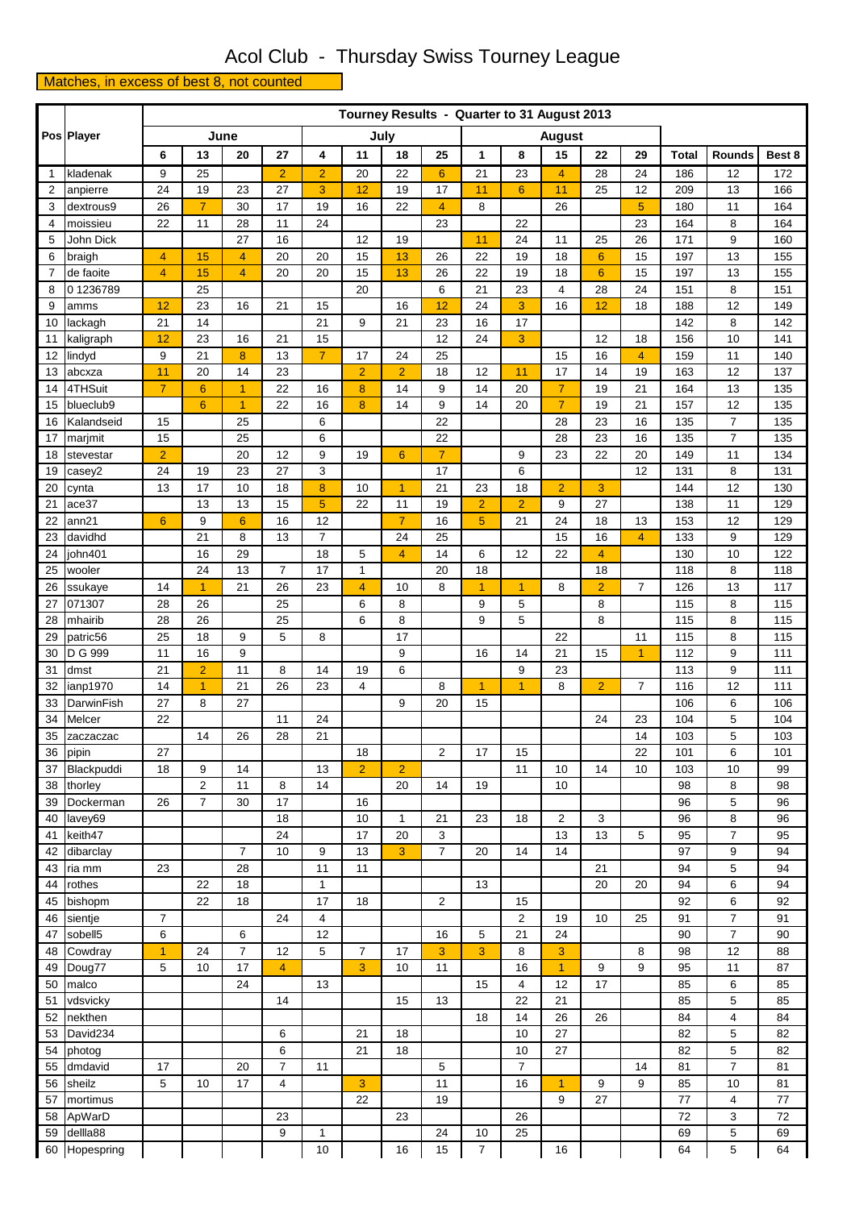## Acol Club - Thursday Swiss Tourney League

Matches, in excess of best 8, not counted

|              | Pos Player           |                | Tourney Results - Quarter to 31 August 2013<br>June |                 |                |                       |                |                |                |                  |                |                |                |                |              |                |            |  |  |
|--------------|----------------------|----------------|-----------------------------------------------------|-----------------|----------------|-----------------------|----------------|----------------|----------------|------------------|----------------|----------------|----------------|----------------|--------------|----------------|------------|--|--|
|              |                      |                |                                                     |                 |                | July<br><b>August</b> |                |                |                |                  |                |                |                |                |              |                |            |  |  |
|              |                      | 6              | 13                                                  | 20              | 27             | 4                     | 11             | 18             | 25             | 1                | 8              | 15             | 22             | 29             | <b>Total</b> | Rounds         | Best 8     |  |  |
| $\mathbf{1}$ | kladenak             | 9              | 25                                                  |                 | $\overline{2}$ | $\overline{2}$        | 20             | 22             | $6\phantom{1}$ | 21               | 23             | 4              | 28             | 24             | 186          | 12             | 172        |  |  |
| 2            | anpierre             | 24             | 19                                                  | 23              | 27             | 3                     | 12             | 19             | 17             | 11               | $6\phantom{1}$ | 11             | 25             | 12             | 209          | 13             | 166        |  |  |
| 3            | dextrous9            | 26             | $\overline{7}$                                      | 30              | 17             | 19                    | 16             | 22             | 4              | 8                |                | 26             |                | 5              | 180          | 11             | 164        |  |  |
| 4            | moissieu             | 22             | 11                                                  | 28              | 11             | 24                    |                |                | 23             |                  | 22             |                |                | 23             | 164          | 8              | 164        |  |  |
| 5            | John Dick            |                |                                                     | 27              | 16             |                       | 12             | 19             |                | 11               | 24             | 11             | 25             | 26             | 171          | 9              | 160        |  |  |
| 6            | braigh               | 4              | 15                                                  | 4               | 20             | 20                    | 15             | 13             | 26             | 22               | 19             | 18             | 6              | 15             | 197          | 13             | 155        |  |  |
| 7            | de faoite            | 4              | 15                                                  | 4               | 20             | 20                    | 15             | 13             | 26             | 22               | 19             | 18             | 6              | 15             | 197          | 13             | 155        |  |  |
| 8            | 01236789             |                | 25                                                  |                 |                |                       | 20             |                | 6              | 21               | 23             | $\overline{4}$ | 28             | 24             | 151          | 8              | 151        |  |  |
| 9            | amms                 | 12<br>21       | 23<br>14                                            | 16              | 21             | 15<br>21              | 9              | 16<br>21       | 12<br>23       | 24<br>16         | 3<br>17        | 16             | 12             | 18             | 188<br>142   | 12<br>8        | 149<br>142 |  |  |
| 10<br>11     | lackagh<br>kaligraph | 12             | 23                                                  | 16              | 21             | 15                    |                |                | 12             | 24               | 3              |                | 12             | 18             | 156          | 10             | 141        |  |  |
| 12           | lindyd               | 9              | 21                                                  | 8               | 13             | $\overline{7}$        | 17             | 24             | 25             |                  |                | 15             | 16             | $\overline{4}$ | 159          | 11             | 140        |  |  |
| 13           | abcxza               | 11             | 20                                                  | 14              | 23             |                       | $\overline{2}$ | $\overline{2}$ | 18             | 12               | 11             | 17             | 14             | 19             | 163          | 12             | 137        |  |  |
| 14           | 4THSuit              | $\overline{7}$ | $6\phantom{1}6$                                     | $\mathbf{1}$    | 22             | 16                    | 8              | 14             | 9              | 14               | 20             | $\overline{7}$ | 19             | 21             | 164          | 13             | 135        |  |  |
| 15           | blueclub9            |                | $6\phantom{1}$                                      | $\mathbf{1}$    | 22             | 16                    | 8              | 14             | 9              | 14               | 20             | $\overline{7}$ | 19             | 21             | 157          | 12             | 135        |  |  |
| 16           | Kalandseid           | 15             |                                                     | 25              |                | 6                     |                |                | 22             |                  |                | 28             | 23             | 16             | 135          | $\overline{7}$ | 135        |  |  |
| 17           | marjmit              | 15             |                                                     | 25              |                | 6                     |                |                | 22             |                  |                | 28             | 23             | 16             | 135          | $\overline{7}$ | 135        |  |  |
| 18           | stevestar            | $\overline{2}$ |                                                     | 20              | 12             | 9                     | 19             | 6              | $\overline{7}$ |                  | 9              | 23             | 22             | 20             | 149          | 11             | 134        |  |  |
| 19           | casey2               | 24             | 19                                                  | 23              | 27             | 3                     |                |                | 17             |                  | 6              |                |                | 12             | 131          | 8              | 131        |  |  |
| 20           | cynta                | 13             | 17                                                  | 10              | 18             | 8                     | 10             | $\mathbf{1}$   | 21             | 23               | 18             | $\overline{2}$ | $\mathbf 3$    |                | 144          | 12             | 130        |  |  |
| 21           | ace37                |                | 13                                                  | 13              | 15             | 5                     | 22             | 11             | 19             | $\overline{2}$   | $\overline{2}$ | 9              | 27             |                | 138          | 11             | 129        |  |  |
| 22           | ann21                | $6\phantom{a}$ | 9                                                   | $6\phantom{1}6$ | 16             | 12                    |                | $\overline{7}$ | 16             | $\overline{5}$   | 21             | 24             | 18             | 13             | 153          | 12             | 129        |  |  |
| 23           | davidhd              |                | 21                                                  | 8               | 13             | $\overline{7}$        |                | 24             | 25             |                  |                | 15             | 16             | $\overline{4}$ | 133          | 9              | 129        |  |  |
| 24           | john401              |                | 16                                                  | 29              |                | 18                    | 5              | $\overline{4}$ | 14             | 6                | 12             | 22             | 4              |                | 130          | 10             | 122        |  |  |
| 25           | wooler               |                | 24                                                  | 13              | $\overline{7}$ | 17                    | 1              |                | 20             | 18               |                |                | 18             |                | 118          | 8              | 118        |  |  |
| 26           | ssukaye              | 14             | $\overline{1}$                                      | 21              | 26             | 23                    | $\overline{4}$ | 10             | 8              | $\overline{1}$   | $\overline{1}$ | 8              | $\overline{2}$ | $\overline{7}$ | 126          | 13             | 117        |  |  |
| 27<br>28     | 071307<br>mhairib    | 28<br>28       | 26<br>26                                            |                 | 25<br>25       |                       | 6<br>6         | 8<br>8         |                | 9<br>9           | 5<br>5         |                | 8<br>8         |                | 115<br>115   | 8<br>8         | 115<br>115 |  |  |
| 29           | patric56             | 25             | 18                                                  | 9               | 5              | 8                     |                | 17             |                |                  |                | 22             |                | 11             | 115          | 8              | 115        |  |  |
| 30           | D G 999              | 11             | 16                                                  | 9               |                |                       |                | 9              |                | 16               | 14             | 21             | 15             | $\overline{1}$ | 112          | 9              | 111        |  |  |
| 31           | dmst                 | 21             | $\overline{a}$                                      | 11              | 8              | 14                    | 19             | 6              |                |                  | 9              | 23             |                |                | 113          | 9              | 111        |  |  |
| 32           | ianp1970             | 14             | $\mathbf{1}$                                        | 21              | 26             | 23                    | 4              |                | 8              | $\overline{1}$   | 1              | 8              | $\overline{c}$ | 7              | 116          | 12             | 111        |  |  |
| 33           | DarwinFish           | 27             | 8                                                   | 27              |                |                       |                | 9              | 20             | 15               |                |                |                |                | 106          | 6              | 106        |  |  |
| 34           | Melcer               | 22             |                                                     |                 | 11             | 24                    |                |                |                |                  |                |                | 24             | 23             | 104          | 5              | 104        |  |  |
| 35           | zaczaczac            |                | 14                                                  | 26              | 28             | 21                    |                |                |                |                  |                |                |                | 14             | 103          | 5              | 103        |  |  |
| 36           | pipin                | 27             |                                                     |                 |                |                       | 18             |                | $\overline{2}$ | 17               | 15             |                |                | 22             | 101          | 6              | 101        |  |  |
| 37           | Blackpuddi           | 18             | 9                                                   | 14              |                | 13                    | $\overline{2}$ | $\overline{2}$ |                |                  | 11             | 10             | 14             | 10             | 103          | 10             | 99         |  |  |
| 38           | thorley              |                | $\overline{2}$                                      | 11              | 8              | 14                    |                | 20             | 14             | 19               |                | 10             |                |                | 98           | 8              | 98         |  |  |
| 39           | Dockerman            | 26             | $\overline{7}$                                      | 30              | 17             |                       | 16             |                |                |                  |                |                |                |                | 96           | 5              | 96         |  |  |
| 40           | lavey69              |                |                                                     |                 | 18             |                       | 10             | 1              | 21             | 23               | 18             | $\overline{2}$ | 3              |                | 96           | 8              | 96         |  |  |
| 41           | keith47              |                |                                                     |                 | 24             |                       | 17             | 20             | 3              |                  |                | 13             | 13             | 5              | 95           | 7              | 95         |  |  |
| 42           | dibarclay            |                |                                                     | $\overline{7}$  | 10             | 9                     | 13             | 3              | $\overline{7}$ | 20               | 14             | 14             |                |                | 97           | 9              | 94         |  |  |
| 43<br>44     | ria mm<br>rothes     | 23             | 22                                                  | 28<br>18        |                | 11<br>$\mathbf{1}$    | 11             |                |                | 13               |                |                | 21<br>20       | 20             | 94<br>94     | 5<br>6         | 94<br>94   |  |  |
| 45           | bishopm              |                | 22                                                  | 18              |                | 17                    | 18             |                | 2              |                  | 15             |                |                |                | 92           | 6              | 92         |  |  |
| 46           | sientje              | 7              |                                                     |                 | 24             | 4                     |                |                |                |                  | 2              | 19             | 10             | 25             | 91           | 7              | 91         |  |  |
| 47           | sobell5              | 6              |                                                     | 6               |                | 12                    |                |                | 16             | 5                | 21             | 24             |                |                | 90           | $\overline{7}$ | 90         |  |  |
| 48           | Cowdray              | $\overline{1}$ | 24                                                  | $\overline{7}$  | 12             | 5                     | 7              | 17             | 3              | 3                | 8              | 3              |                | 8              | 98           | 12             | 88         |  |  |
| 49           | Doug77               | 5              | 10                                                  | 17              | 4              |                       | 3              | 10             | 11             |                  | 16             | $\overline{1}$ | 9              | 9              | 95           | 11             | 87         |  |  |
| 50           | malco                |                |                                                     | 24              |                | 13                    |                |                |                | 15               | 4              | 12             | 17             |                | 85           | 6              | 85         |  |  |
| 51           | vdsvicky             |                |                                                     |                 | 14             |                       |                | 15             | 13             |                  | 22             | 21             |                |                | 85           | 5              | 85         |  |  |
| 52           | nekthen              |                |                                                     |                 |                |                       |                |                |                | 18               | 14             | 26             | 26             |                | 84           | 4              | 84         |  |  |
| 53           | David234             |                |                                                     |                 | 6              |                       | 21             | 18             |                |                  | 10             | 27             |                |                | 82           | 5              | 82         |  |  |
| 54           | photog               |                |                                                     |                 | 6              |                       | 21             | 18             |                |                  | 10             | 27             |                |                | 82           | 5              | 82         |  |  |
| 55           | dmdavid              | 17             |                                                     | 20              | 7              | 11                    |                |                | 5              |                  | $\overline{7}$ |                |                | 14             | 81           | $\overline{7}$ | 81         |  |  |
| 56           | sheilz               | 5              | 10                                                  | 17              | 4              |                       | 3              |                | 11             |                  | 16             | $\overline{1}$ | 9              | 9              | 85           | 10             | 81         |  |  |
| 57           | mortimus             |                |                                                     |                 |                |                       | 22             |                | 19             |                  |                | 9              | 27             |                | 77           | 4              | 77         |  |  |
| 58           | ApWarD               |                |                                                     |                 | 23             |                       |                | 23             |                |                  | 26             |                |                |                | 72           | 3              | 72         |  |  |
| 59           | dellla88             |                |                                                     |                 | 9              | $\mathbf{1}$          |                |                | 24             | 10               | 25             |                |                |                | 69           | 5              | 69         |  |  |
| 60           | Hopespring           |                |                                                     |                 |                | $10$                  |                | 16             | 15             | $\boldsymbol{7}$ |                | 16             |                |                | 64           | 5              | 64         |  |  |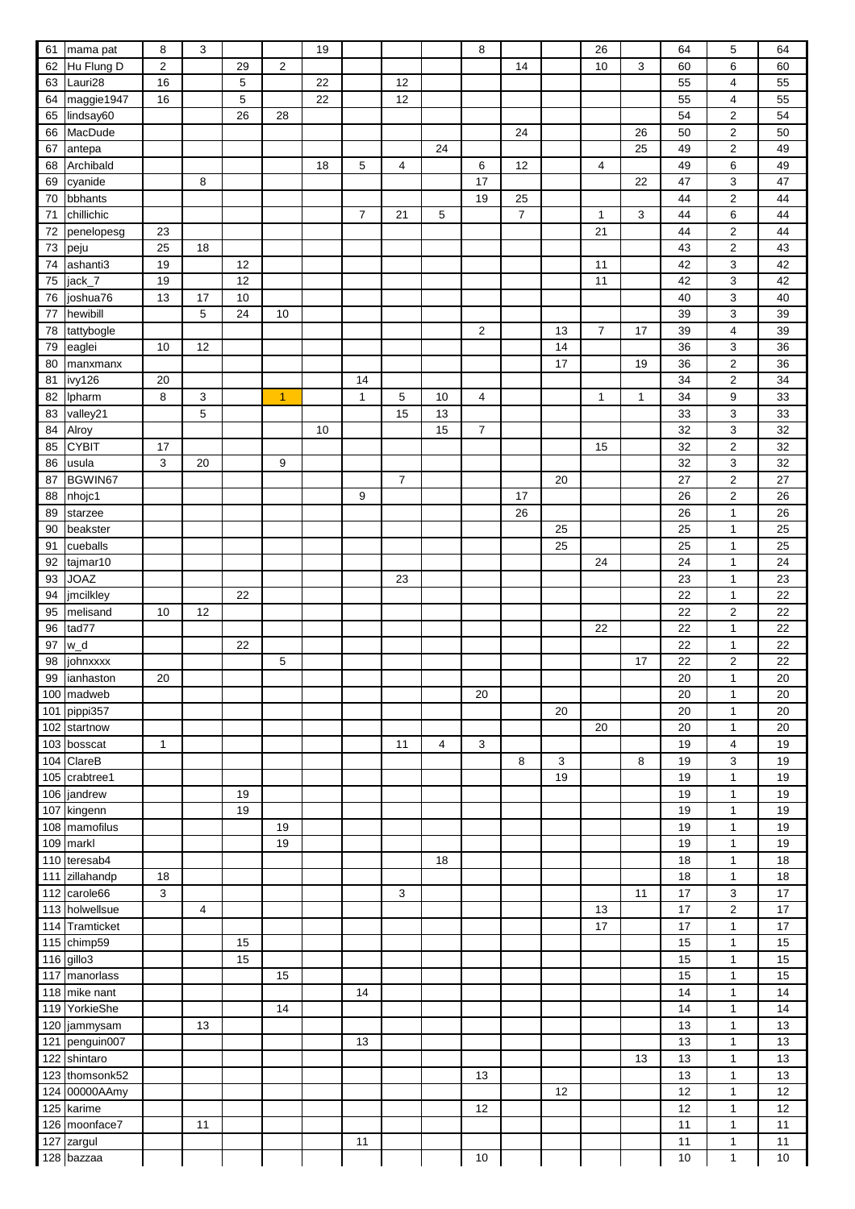| 61  | mama pat             | 8                       | 3           |    |                | 19 |                |                |    | 8              |                |        | 26             |              | 64       | $\mathbf 5$       | 64       |
|-----|----------------------|-------------------------|-------------|----|----------------|----|----------------|----------------|----|----------------|----------------|--------|----------------|--------------|----------|-------------------|----------|
| 62  | Hu Flung D           | $\overline{\mathbf{c}}$ |             | 29 | $\overline{c}$ |    |                |                |    |                | 14             |        | 10             | 3            | 60       | 6                 | 60       |
|     |                      |                         |             |    |                |    |                |                |    |                |                |        |                |              |          |                   |          |
| 63  | Lauri28              | 16                      |             | 5  |                | 22 |                | 12             |    |                |                |        |                |              | 55       | 4                 | 55       |
| 64  | maggie1947           | 16                      |             | 5  |                | 22 |                | 12             |    |                |                |        |                |              | 55       | 4                 | 55       |
| 65  | lindsay60            |                         |             | 26 | 28             |    |                |                |    |                |                |        |                |              | 54       | $\boldsymbol{2}$  | 54       |
| 66  | MacDude              |                         |             |    |                |    |                |                |    |                | 24             |        |                | 26           | 50       | $\boldsymbol{2}$  | 50       |
|     |                      |                         |             |    |                |    |                |                |    |                |                |        |                |              |          |                   |          |
| 67  | antepa               |                         |             |    |                |    |                |                | 24 |                |                |        |                | 25           | 49       | $\boldsymbol{2}$  | 49       |
| 68  | Archibald            |                         |             |    |                | 18 | 5              | 4              |    | 6              | 12             |        | $\overline{4}$ |              | 49       | 6                 | 49       |
| 69  | cyanide              |                         | 8           |    |                |    |                |                |    | 17             |                |        |                | 22           | 47       | 3                 | 47       |
| 70  | bbhants              |                         |             |    |                |    |                |                |    | 19             | 25             |        |                |              | 44       | $\boldsymbol{2}$  | 44       |
|     |                      |                         |             |    |                |    |                |                |    |                |                |        |                |              |          |                   |          |
| 71  | chillichic           |                         |             |    |                |    | $\overline{7}$ | 21             | 5  |                | $\overline{7}$ |        | 1              | 3            | 44       | 6                 | 44       |
| 72  | penelopesg           | 23                      |             |    |                |    |                |                |    |                |                |        | 21             |              | 44       | $\boldsymbol{2}$  | 44       |
| 73  | peju                 | 25                      | 18          |    |                |    |                |                |    |                |                |        |                |              | 43       | $\overline{2}$    | 43       |
| 74  | ashanti3             | 19                      |             | 12 |                |    |                |                |    |                |                |        | 11             |              | 42       | $\mathsf 3$       | 42       |
|     |                      |                         |             |    |                |    |                |                |    |                |                |        |                |              |          |                   |          |
| 75  | jack_7               | 19                      |             | 12 |                |    |                |                |    |                |                |        | 11             |              | 42       | $\mathsf 3$       | 42       |
| 76  | joshua76             | 13                      | 17          | 10 |                |    |                |                |    |                |                |        |                |              | 40       | $\mathsf 3$       | 40       |
| 77  | hewibill             |                         | 5           | 24 | 10             |    |                |                |    |                |                |        |                |              | 39       | 3                 | 39       |
| 78  | tattybogle           |                         |             |    |                |    |                |                |    | $\overline{2}$ |                | 13     | $\overline{7}$ | 17           | 39       | 4                 | 39       |
|     |                      |                         |             |    |                |    |                |                |    |                |                |        |                |              |          |                   |          |
| 79  | eaglei               | 10                      | 12          |    |                |    |                |                |    |                |                | 14     |                |              | 36       | 3                 | 36       |
| 80  | manxmanx             |                         |             |    |                |    |                |                |    |                |                | 17     |                | 19           | 36       | $\boldsymbol{2}$  | 36       |
| 81  | ivy126               | 20                      |             |    |                |    | 14             |                |    |                |                |        |                |              | 34       | $\mathbf 2$       | 34       |
| 82  | Ipharm               | 8                       | 3           |    | 1              |    | $\mathbf{1}$   | 5              | 10 | 4              |                |        | 1              | $\mathbf{1}$ | 34       | 9                 | 33       |
|     |                      |                         |             |    |                |    |                |                |    |                |                |        |                |              |          |                   |          |
| 83  | valley21             |                         | $\mathbf 5$ |    |                |    |                | 15             | 13 |                |                |        |                |              | 33       | 3                 | 33       |
| 84  | Alroy                |                         |             |    |                | 10 |                |                | 15 | $\overline{7}$ |                |        |                |              | 32       | $\mathsf 3$       | 32       |
| 85  | <b>CYBIT</b>         | 17                      |             |    |                |    |                |                |    |                |                |        | 15             |              | 32       | $\mathbf 2$       | 32       |
| 86  | usula                | 3                       | 20          |    | 9              |    |                |                |    |                |                |        |                |              | 32       | 3                 | 32       |
|     | BGWIN67              |                         |             |    |                |    |                | $\overline{7}$ |    |                |                | 20     |                |              | 27       | $\mathbf 2$       | 27       |
| 87  |                      |                         |             |    |                |    |                |                |    |                |                |        |                |              |          |                   |          |
| 88  | nhojc1               |                         |             |    |                |    | 9              |                |    |                | 17             |        |                |              | 26       | $\mathbf 2$       | 26       |
| 89  | starzee              |                         |             |    |                |    |                |                |    |                | 26             |        |                |              | 26       | $\mathbf{1}$      | 26       |
| 90  | beakster             |                         |             |    |                |    |                |                |    |                |                | 25     |                |              | 25       | $\mathbf{1}$      | 25       |
|     |                      |                         |             |    |                |    |                |                |    |                |                |        |                |              |          |                   |          |
| 91  | cueballs             |                         |             |    |                |    |                |                |    |                |                | 25     |                |              | 25       | $\mathbf{1}$      | 25       |
| 92  | tajmar10             |                         |             |    |                |    |                |                |    |                |                |        | 24             |              | 24       | $\mathbf{1}$      | 24       |
| 93  | <b>JOAZ</b>          |                         |             |    |                |    |                | 23             |    |                |                |        |                |              | 23       | $\mathbf{1}$      | 23       |
| 94  | jmcilkley            |                         |             | 22 |                |    |                |                |    |                |                |        |                |              | 22       | $\mathbf{1}$      | 22       |
|     |                      |                         |             |    |                |    |                |                |    |                |                |        |                |              |          |                   |          |
| 95  | melisand             | 10                      | 12          |    |                |    |                |                |    |                |                |        |                |              | 22       | $\boldsymbol{2}$  | 22       |
| 96  | tad77                |                         |             |    |                |    |                |                |    |                |                |        | 22             |              | 22       | $\mathbf{1}$      | 22       |
|     | w_d                  |                         |             | 22 |                |    |                |                |    |                |                |        |                |              | 22       | $\mathbf{1}$      | 22       |
|     |                      |                         |             |    |                |    |                |                |    |                |                |        |                |              |          |                   |          |
| 97  |                      |                         |             |    |                |    |                |                |    |                |                |        |                |              |          |                   |          |
|     | 98 johnxxxx          |                         |             |    | 5              |    |                |                |    |                |                |        |                | 17           | 22       | $\overline{2}$    | 22       |
| 99  | ianhaston            | 20                      |             |    |                |    |                |                |    |                |                |        |                |              | 20       | $\overline{1}$    | 20       |
| 100 | madweb               |                         |             |    |                |    |                |                |    | 20             |                |        |                |              | 20       | $\overline{1}$    | 20       |
|     |                      |                         |             |    |                |    |                |                |    |                |                |        |                |              |          | $\mathbf{1}$      |          |
| 101 | pippi357             |                         |             |    |                |    |                |                |    |                |                | $20\,$ |                |              | 20       |                   | 20       |
| 102 | startnow             |                         |             |    |                |    |                |                |    |                |                |        | 20             |              | 20       | $\mathbf{1}$      | 20       |
| 103 | bosscat              | $\mathbf{1}$            |             |    |                |    |                | 11             | 4  | 3              |                |        |                |              | 19       | 4                 | 19       |
| 104 | ClareB               |                         |             |    |                |    |                |                |    |                | 8              | 3      |                | 8            | 19       | 3                 | 19       |
| 105 | crabtree1            |                         |             |    |                |    |                |                |    |                |                | 19     |                |              | 19       | $\mathbf{1}$      | 19       |
|     |                      |                         |             |    |                |    |                |                |    |                |                |        |                |              |          |                   |          |
| 106 | jandrew              |                         |             | 19 |                |    |                |                |    |                |                |        |                |              | 19       | $\mathbf{1}$      | 19       |
| 107 | kingenn              |                         |             | 19 |                |    |                |                |    |                |                |        |                |              | 19       | $\mathbf{1}$      | 19       |
| 108 | mamofilus            |                         |             |    | 19             |    |                |                |    |                |                |        |                |              | 19       | $\mathbf{1}$      | 19       |
| 109 | markl                |                         |             |    | 19             |    |                |                |    |                |                |        |                |              | 19       | $\mathbf{1}$      | 19       |
|     |                      |                         |             |    |                |    |                |                |    |                |                |        |                |              |          |                   |          |
| 110 | teresab4             |                         |             |    |                |    |                |                | 18 |                |                |        |                |              | 18       | $\mathbf{1}$      | 18       |
| 111 | zillahandp           | 18                      |             |    |                |    |                |                |    |                |                |        |                |              | 18       | $\mathbf{1}$      | 18       |
| 112 | carole66             | 3                       |             |    |                |    |                | 3              |    |                |                |        |                | 11           | 17       | 3                 | 17       |
| 113 | holwellsue           |                         | 4           |    |                |    |                |                |    |                |                |        | 13             |              | 17       | $\boldsymbol{2}$  | 17       |
| 114 |                      |                         |             |    |                |    |                |                |    |                |                |        | 17             |              | 17       | $\mathbf{1}$      | 17       |
|     | Tramticket           |                         |             |    |                |    |                |                |    |                |                |        |                |              |          |                   |          |
| 115 | chimp59              |                         |             | 15 |                |    |                |                |    |                |                |        |                |              | 15       | $\mathbf{1}$      | 15       |
| 116 | gillo3               |                         |             | 15 |                |    |                |                |    |                |                |        |                |              | 15       | $\mathbf{1}$      | 15       |
| 117 | manorlass            |                         |             |    | 15             |    |                |                |    |                |                |        |                |              | 15       | $\mathbf{1}$      | 15       |
|     |                      |                         |             |    |                |    |                |                |    |                |                |        |                |              |          | $\mathbf{1}$      |          |
| 118 | mike nant            |                         |             |    |                |    | 14             |                |    |                |                |        |                |              | 14       |                   | 14       |
| 119 | YorkieShe            |                         |             |    | 14             |    |                |                |    |                |                |        |                |              | 14       | $\mathbf{1}$      | 14       |
| 120 | jammysam             |                         | 13          |    |                |    |                |                |    |                |                |        |                |              | 13       | $\mathbf{1}$      | 13       |
| 121 | penguin007           |                         |             |    |                |    | 13             |                |    |                |                |        |                |              | 13       | $\mathbf{1}$      | 13       |
|     |                      |                         |             |    |                |    |                |                |    |                |                |        |                |              |          | $\mathbf{1}$      |          |
| 122 | shintaro             |                         |             |    |                |    |                |                |    |                |                |        |                | 13           | 13       |                   | 13       |
| 123 | thomsonk52           |                         |             |    |                |    |                |                |    | 13             |                |        |                |              | 13       | $\mathbf{1}$      | 13       |
| 124 | 00000AAmy            |                         |             |    |                |    |                |                |    |                |                | 12     |                |              | 12       | $\mathbf{1}$      | 12       |
| 125 | karime               |                         |             |    |                |    |                |                |    | 12             |                |        |                |              | 12       | $\overline{1}$    | 12       |
|     |                      |                         | 11          |    |                |    |                |                |    |                |                |        |                |              |          | $\overline{1}$    |          |
| 126 | moonface7            |                         |             |    |                |    |                |                |    |                |                |        |                |              | 11       |                   | 11       |
| 127 | zargul<br>128 bazzaa |                         |             |    |                |    | 11             |                |    | 10             |                |        |                |              | 11<br>10 | $\mathbf{1}$<br>1 | 11<br>10 |